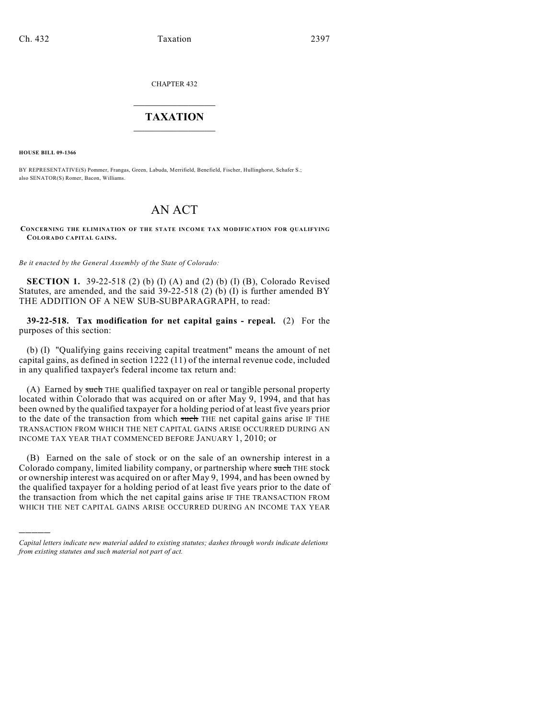CHAPTER 432

## $\overline{\phantom{a}}$  . The set of the set of the set of the set of the set of the set of the set of the set of the set of the set of the set of the set of the set of the set of the set of the set of the set of the set of the set o **TAXATION**  $\_$

**HOUSE BILL 09-1366**

)))))

BY REPRESENTATIVE(S) Pommer, Frangas, Green, Labuda, Merrifield, Benefield, Fischer, Hullinghorst, Schafer S.; also SENATOR(S) Romer, Bacon, Williams.

## AN ACT

**CONCERNING THE ELIMINATION OF THE STATE INCOME TAX MODIFICATION FOR QUALIFYING COLORADO CAPITAL GAINS.**

*Be it enacted by the General Assembly of the State of Colorado:*

**SECTION 1.** 39-22-518 (2) (b) (I) (A) and (2) (b) (I) (B), Colorado Revised Statutes, are amended, and the said  $39-22-518$  (2) (b) (I) is further amended BY THE ADDITION OF A NEW SUB-SUBPARAGRAPH, to read:

**39-22-518. Tax modification for net capital gains - repeal.** (2) For the purposes of this section:

(b) (I) "Qualifying gains receiving capital treatment" means the amount of net capital gains, as defined in section 1222 (11) of the internal revenue code, included in any qualified taxpayer's federal income tax return and:

(A) Earned by such THE qualified taxpayer on real or tangible personal property located within Colorado that was acquired on or after May 9, 1994, and that has been owned by the qualified taxpayer for a holding period of at least five years prior to the date of the transaction from which such THE net capital gains arise IF THE TRANSACTION FROM WHICH THE NET CAPITAL GAINS ARISE OCCURRED DURING AN INCOME TAX YEAR THAT COMMENCED BEFORE JANUARY 1, 2010; or

(B) Earned on the sale of stock or on the sale of an ownership interest in a Colorado company, limited liability company, or partnership where such THE stock or ownership interest was acquired on or after May 9, 1994, and has been owned by the qualified taxpayer for a holding period of at least five years prior to the date of the transaction from which the net capital gains arise IF THE TRANSACTION FROM WHICH THE NET CAPITAL GAINS ARISE OCCURRED DURING AN INCOME TAX YEAR

*Capital letters indicate new material added to existing statutes; dashes through words indicate deletions from existing statutes and such material not part of act.*